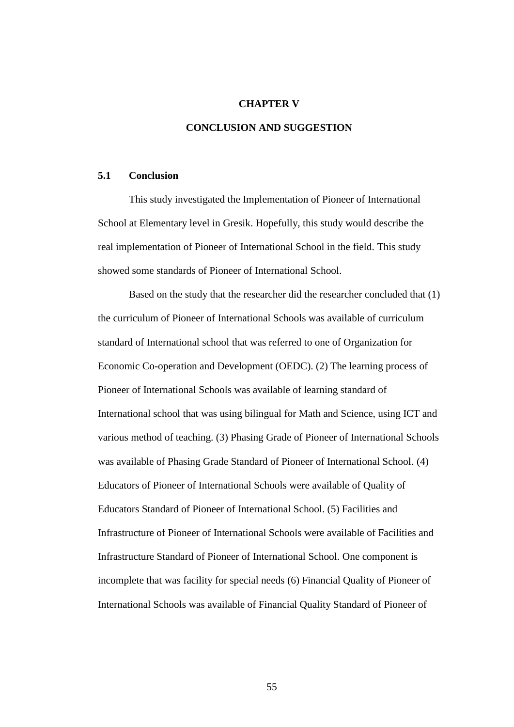# **CHAPTER V**

# **CONCLUSION AND SUGGESTION**

### **5.1 Conclusion**

This study investigated the Implementation of Pioneer of International School at Elementary level in Gresik. Hopefully, this study would describe the real implementation of Pioneer of International School in the field. This study showed some standards of Pioneer of International School.

Based on the study that the researcher did the researcher concluded that (1) the curriculum of Pioneer of International Schools was available of curriculum standard of International school that was referred to one of Organization for Economic Co-operation and Development (OEDC). (2) The learning process of Pioneer of International Schools was available of learning standard of International school that was using bilingual for Math and Science, using ICT and various method of teaching. (3) Phasing Grade of Pioneer of International Schools was available of Phasing Grade Standard of Pioneer of International School. (4) Educators of Pioneer of International Schools were available of Quality of Educators Standard of Pioneer of International School. (5) Facilities and Infrastructure of Pioneer of International Schools were available of Facilities and Infrastructure Standard of Pioneer of International School. One component is incomplete that was facility for special needs (6) Financial Quality of Pioneer of International Schools was available of Financial Quality Standard of Pioneer of